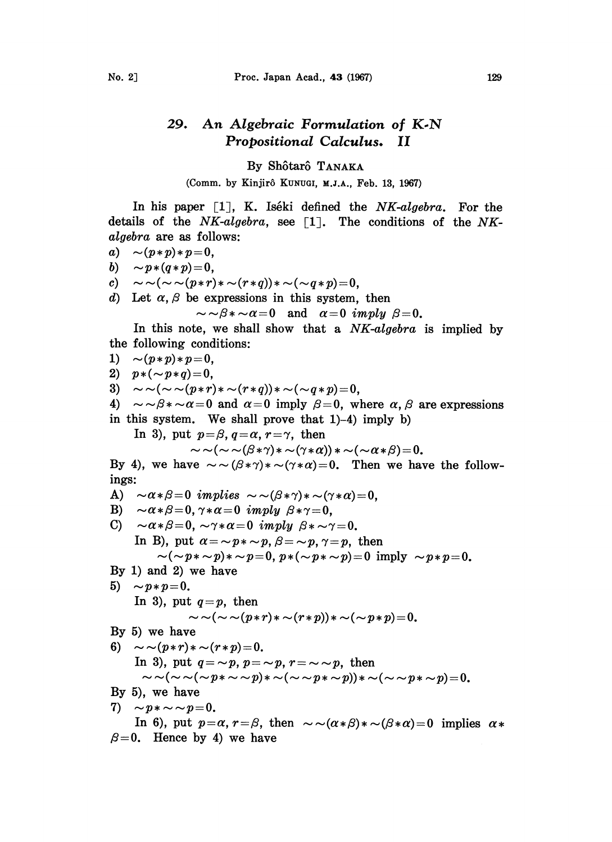## 29. An Algebraic Formulation of K-N Propositional Calculus. II

## By Shôtarô TANAKA

(Comm. by Kinjirô KuNuGI, M.J.A., Feb. 13, 1967)

In his paper  $[1]$ , K. Iséki defined the NK-algebra. For the details of the  $NK-algebra$ , see [1]. The conditions of the NKalgebra are as follows:

$$
a)\quad \sim\!\!(p\!\ast\! p)\!\ast\! p\!=\!0,
$$

$$
b) \sim p \cdot (q \cdot p) = 0,
$$

- b)  $\sim p*(q*p)=0,$ <br>c)  $\sim \sim (\sim \sim (p*r)*\sim (r*q))*\sim (\sim q*p)=0,$
- d) Let  $\alpha$ ,  $\beta$  be expressions in this system, then<br>  $\sim \beta * \alpha = 0$  and  $\alpha = 0$  imply  $\beta = 0$ .

$$
\sim \sim \beta* \sim \alpha = 0 \quad \text{and} \quad \alpha = 0 \; \; \text{imply} \; \; \beta = 0.
$$

In this note, we shall show that a NK-algebra is implied by the following conditions:

1) 
$$
\sim (p*p)*p=0,
$$
  
\n2)  $p*(-p*q)=0,$   
\n3)  $\sim \sim (\sim (p*r)*\sim (r*q))*\sim (\sim q*p)=0,$   
\n4)  $\sim \sim \beta * \sim \alpha = 0$  and  $\alpha = 0$  imply  $\beta = 0$ , where  $\alpha, \beta$  are expressions  
\nin this system. We shall prove that 1)-4) imply b)  
\nIn 3), put  $p=\beta, q=\alpha, r=\gamma$ , then  
\n $\sim \sim (\sim \alpha\beta * \gamma)*\sim (\gamma*\alpha))*\sim (\sim \alpha*\beta)=0.$   
\nBy 4), we have  $\sim \sim (\beta*\gamma)*\sim (\gamma*\alpha)=0$ . Then we have the follow-  
\nings:  
\nA)  $\sim \alpha*\beta = 0$  implies  $\sim \sim (\beta*\gamma)*\sim (\gamma*\alpha)=0$ ,  
\nB)  $\sim \alpha*\beta = 0$ ,  $\gamma*\alpha = 0$  imply  $\beta*\gamma = 0$ ,  
\nC)  $\sim \alpha*\beta = 0$ ,  $\gamma*\alpha = 0$  imply  $\beta*\sim \gamma = 0$ .  
\nIn B), put  $\alpha = \sim p*\sim p$ ,  $\beta = \sim p$ ,  $\gamma = p$ , then  
\n $\sim (\sim p*\sim p)*\sim p = 0$ ,  $p*(\sim p*\sim p) = 0$  imply  $\sim p*p = 0$ .  
\nBy 1) and 2) we have  
\n5)  $\sim p*p = 0$ .  
\nIn 3), put  $q=p$ , then  
\n $\sim \sim (\sim \sim (p*r)*\sim (r*p))*\sim (\sim p*p)=0$ .  
\nBy 5) we have  
\n6)  $\sim \sim (p*r)*\sim (r*p) = 0$ .  
\nIn 6), put  $q = \sim p$ ,  $p = \sim p$ ,  $r = \sim \sim p$ , then  
\n $\sim \sim (\sim \sim (\sim p*\sim p)*\sim (\sim \sim p*\sim p))*\sim (\sim \sim p*\sim p)=0$ .  
\nBy 6), we have  
\n7)  $\sim p*\sim \sim p = 0$ .  
\nIn 6), put  $p = \alpha, r = \beta$ , then  $\sim \sim (\alpha*\beta)*\sim(\beta*\alpha) = 0$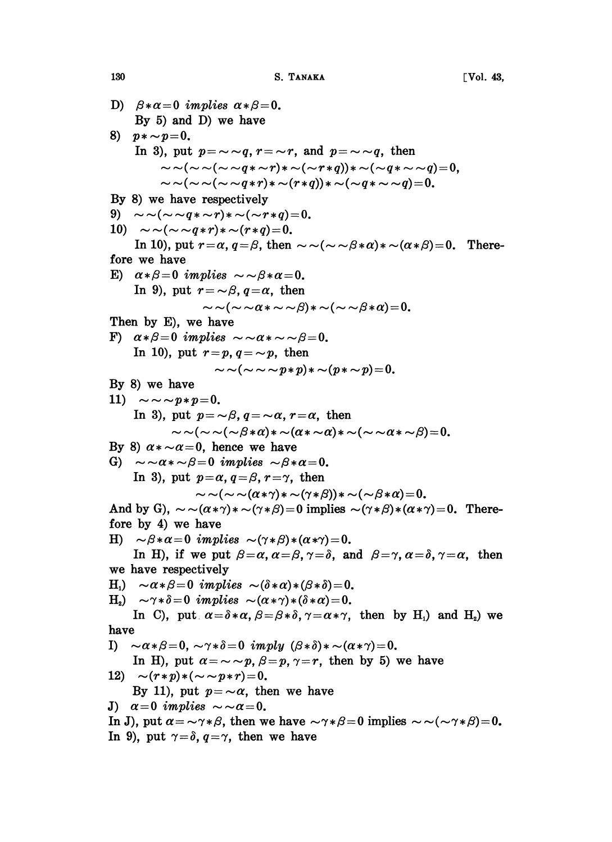D)  $\beta * \alpha = 0$  implies  $\alpha * \beta = 0$ . By 5) and D) we have 8)  $p * \sim p=0$ . In 3), put  $p = \sim q$ ,  $r = \sim r$ , and  $p = \sim q$ , then put  $p = \sim q$ ,  $r = \sim r$ , and  $p = \sim q$ , then<br>  $\sim (\sim \sim (\sim \sim q * \sim r) * \sim (\sim r * q)) * \sim (\sim q * \sim \sim q) = 0,$  $\sim$  (  $\sim$   $\sim$   $(q * \sim r) * \sim$  ( $\sim$   $r * q$ ))  $*$   $\sim$  ( $\sim$   $q * \sim$   $\sim$   $q$ )<br>  $\sim$  ( $\sim$   $\sim$   $(q * r) * \sim$   $(r * q)$ )  $*$   $\sim$  ( $\sim$   $q * \sim$   $\sim$   $q$ )  $=$   $0.$ By 8) we have respectively  $\sim \sim (\sim \sim (\sim \sim q \cdot r) * \sim (r \cdot q)) * \sim (\sim q * \sim \sim q) = 0.$ <br>By 8) we have respectively<br>9)  $\sim \sim (\sim \sim q * \sim r) * \sim (\sim r * q) = 0.$ 10)  $\sim \sim (\sim \sim q \cdot r) * \sim (r * q) = 0.$ In 10), put  $r=\alpha$ ,  $q=\beta$ , then  $\sim \sim (\sim \sim \beta*\alpha)*\sim (\alpha*\beta)=0$ . Therefore we have E)  $\alpha \times \beta = 0$  implies  $\sim \beta \times \alpha = 0$ . In 9), put  $r = \neg \beta$ ,  $q = \alpha$ , then  $\sim \sim (\sim \sim \alpha * \sim \sim \beta) * \sim (\sim \sim \beta * \alpha)=0.$ Then by E), we have F)  $\alpha * \beta = 0$  implies  $\sim \alpha * \sim \beta = 0$ . In 10), put  $r=p, q=\sim p$ , then  $\sim \sim (\sim \sim \sim p*p)*\sim (p*\sim p)=0.$ By 8) we have 11)  $\sim \sim \sim p*p=0$ . In 3), put  $p = -\beta$ ,  $q = -\alpha$ ,  $r = \alpha$ , then  $\sim \sim (\sim \sim (\sim \beta \ast \alpha) \ast \sim (\alpha \ast \sim \alpha) \ast \sim (\sim \sim \alpha \ast \sim \beta) = 0.$ By 8)  $\alpha * \sim \alpha = 0$ , hence we have G)  $\sim \sim \alpha * \sim \beta = 0$  implies  $\sim \beta * \alpha = 0$ . In 3), put  $p=\alpha$ ,  $q=\beta$ ,  $r=\gamma$ , then  $\sim (\sim \sim (\alpha*\gamma)*\sim (\gamma*\beta))*\sim (\sim \beta*\alpha)=0.$ And by G),  $\sim \sim (\alpha \cdot \gamma) \cdot \sim (\gamma \cdot \beta) = 0$  implies  $\sim (\gamma \cdot \beta) \cdot (\alpha \cdot \gamma) = 0$ . Therefore by 4) we have H)  $\sim \beta \times \alpha = 0$  implies  $\sim (\gamma \times \beta) \times (\alpha \times \gamma) = 0$ . In H), if we put  $\beta = \alpha$ ,  $\alpha = \beta$ ,  $\gamma = \delta$ , and  $\beta = \gamma$ ,  $\alpha = \delta$ ,  $\gamma = \alpha$ , then we have respectively H<sub>1</sub>)  $\sim \alpha * \beta = 0$  implies  $\sim (\delta * \alpha) * (\beta * \delta) = 0$ . H<sub>2</sub>)  $\sim \gamma * \delta = 0$  implies  $\sim (\alpha * \gamma) * (\delta * \alpha) = 0$ . In C), put  $\alpha = \delta \ast \alpha$ ,  $\beta = \beta \ast \delta$ ,  $\gamma = \alpha \ast \gamma$ , then by H<sub>1</sub>) and H<sub>2</sub>) we have I)  $\sim \alpha \times \beta = 0$ ,  $\sim \gamma \times \delta = 0$  imply  $(\beta \times \delta) \times \sim (\alpha \times \gamma) = 0$ . In H), put  $\alpha = \sim p$ ,  $\beta = p$ ,  $\gamma = r$ , then by 5) we have 12)  $\sim (r*p)*({\sim} \sim p*r)=0.$ By 11), put  $p = \alpha$ , then we have J)  $\alpha=0$  implies  $\sim \alpha=0$ . In J), put  $\alpha = \alpha \gamma \gamma \beta$ , then we have  $\alpha \gamma \gamma \beta = 0$  implies  $\alpha \gamma \gamma \gamma \beta = 0$ . In 9), put  $\gamma = \delta$ ,  $q = \gamma$ , then we have